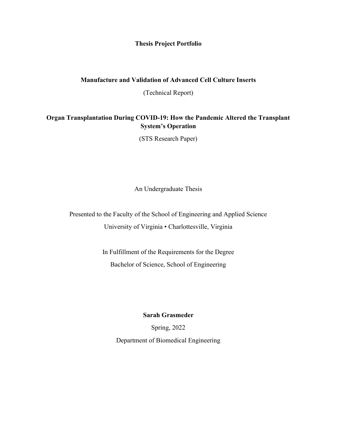## Thesis Project Portfolio

## Manufacture and Validation of Advanced Cell Culture Inserts

(Technical Report)

# Organ Transplantation During COVID-19: How the Pandemic Altered the Transplant System's Operation

(STS Research Paper)

An Undergraduate Thesis

Presented to the Faculty of the School of Engineering and Applied Science University of Virginia • Charlottesville, Virginia

> In Fulfillment of the Requirements for the Degree Bachelor of Science, School of Engineering

> > Sarah Grasmeder

Spring, 2022 Department of Biomedical Engineering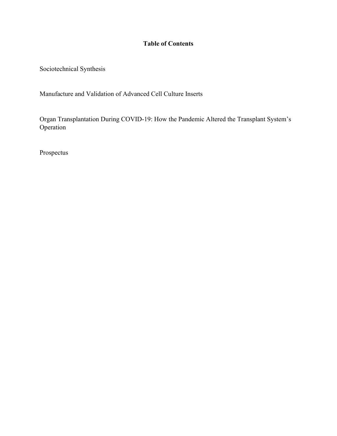# Table of Contents

Sociotechnical Synthesis

Manufacture and Validation of Advanced Cell Culture Inserts

Organ Transplantation During COVID-19: How the Pandemic Altered the Transplant System's Operation

Prospectus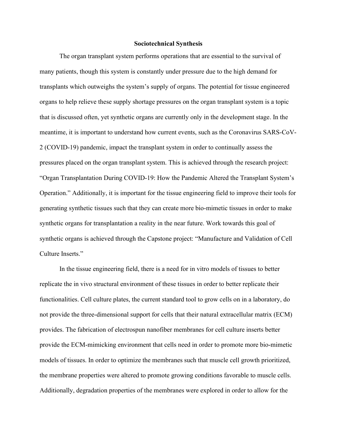#### Sociotechnical Synthesis

 The organ transplant system performs operations that are essential to the survival of many patients, though this system is constantly under pressure due to the high demand for transplants which outweighs the system's supply of organs. The potential for tissue engineered organs to help relieve these supply shortage pressures on the organ transplant system is a topic that is discussed often, yet synthetic organs are currently only in the development stage. In the meantime, it is important to understand how current events, such as the Coronavirus SARS-CoV-2 (COVID-19) pandemic, impact the transplant system in order to continually assess the pressures placed on the organ transplant system. This is achieved through the research project: "Organ Transplantation During COVID-19: How the Pandemic Altered the Transplant System's Operation." Additionally, it is important for the tissue engineering field to improve their tools for generating synthetic tissues such that they can create more bio-mimetic tissues in order to make synthetic organs for transplantation a reality in the near future. Work towards this goal of synthetic organs is achieved through the Capstone project: "Manufacture and Validation of Cell Culture Inserts."

 In the tissue engineering field, there is a need for in vitro models of tissues to better replicate the in vivo structural environment of these tissues in order to better replicate their functionalities. Cell culture plates, the current standard tool to grow cells on in a laboratory, do not provide the three-dimensional support for cells that their natural extracellular matrix (ECM) provides. The fabrication of electrospun nanofiber membranes for cell culture inserts better provide the ECM-mimicking environment that cells need in order to promote more bio-mimetic models of tissues. In order to optimize the membranes such that muscle cell growth prioritized, the membrane properties were altered to promote growing conditions favorable to muscle cells. Additionally, degradation properties of the membranes were explored in order to allow for the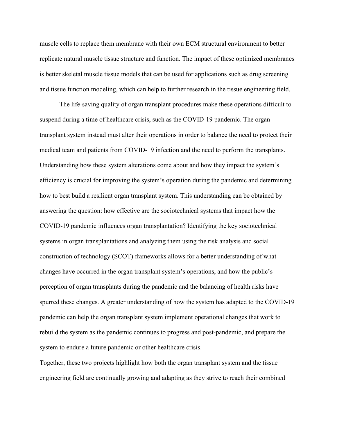muscle cells to replace them membrane with their own ECM structural environment to better replicate natural muscle tissue structure and function. The impact of these optimized membranes is better skeletal muscle tissue models that can be used for applications such as drug screening and tissue function modeling, which can help to further research in the tissue engineering field.

 The life-saving quality of organ transplant procedures make these operations difficult to suspend during a time of healthcare crisis, such as the COVID-19 pandemic. The organ transplant system instead must alter their operations in order to balance the need to protect their medical team and patients from COVID-19 infection and the need to perform the transplants. Understanding how these system alterations come about and how they impact the system's efficiency is crucial for improving the system's operation during the pandemic and determining how to best build a resilient organ transplant system. This understanding can be obtained by answering the question: how effective are the sociotechnical systems that impact how the COVID-19 pandemic influences organ transplantation? Identifying the key sociotechnical systems in organ transplantations and analyzing them using the risk analysis and social construction of technology (SCOT) frameworks allows for a better understanding of what changes have occurred in the organ transplant system's operations, and how the public's perception of organ transplants during the pandemic and the balancing of health risks have spurred these changes. A greater understanding of how the system has adapted to the COVID-19 pandemic can help the organ transplant system implement operational changes that work to rebuild the system as the pandemic continues to progress and post-pandemic, and prepare the system to endure a future pandemic or other healthcare crisis.

Together, these two projects highlight how both the organ transplant system and the tissue engineering field are continually growing and adapting as they strive to reach their combined